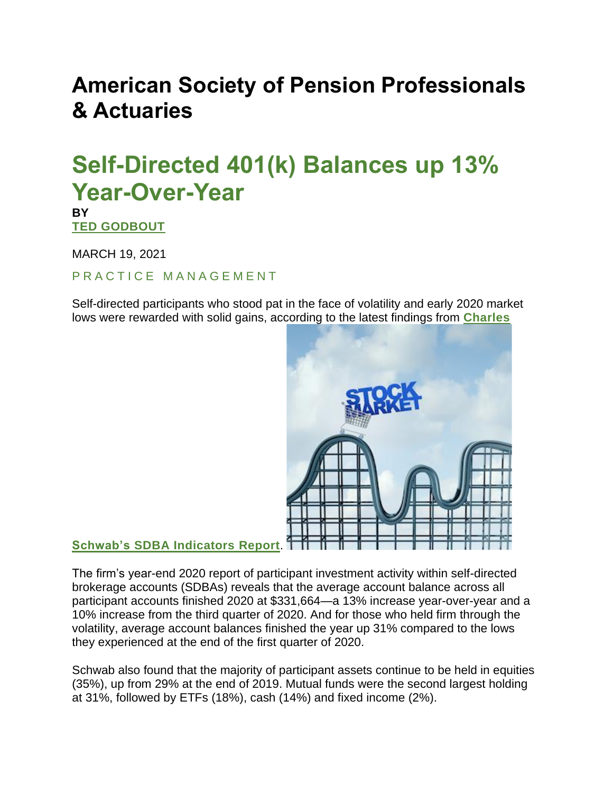## **American Society of Pension Professionals & Actuaries**

# **Self-Directed 401(k) Balances up 13% Year-Over-Year**

**BY**

**TED [GODBOUT](https://www.asppa.org/news-resources/browse-authors/ted-godbout)**

MARCH 19, 2021

PRACTICE MANAGEMENT

Self-directed participants who stood pat in the face of volatility and early 2020 market lows were rewarded with solid gains, according to the latest findings from **[Charles](https://workplacefinancialservices.schwab.com/resource/SDBA-indicators-Q4-2020-report)**



#### **Schwab's SDBA [Indicators](https://workplacefinancialservices.schwab.com/resource/SDBA-indicators-Q4-2020-report) Report**.

The firm's year-end 2020 report of participant investment activity within self-directed brokerage accounts (SDBAs) reveals that the average account balance across all participant accounts finished 2020 at \$331,664—a 13% increase year-over-year and a 10% increase from the third quarter of 2020. And for those who held firm through the volatility, average account balances finished the year up 31% compared to the lows they experienced at the end of the first quarter of 2020.

Schwab also found that the majority of participant assets continue to be held in equities (35%), up from 29% at the end of 2019. Mutual funds were the second largest holding at 31%, followed by ETFs (18%), cash (14%) and fixed income (2%).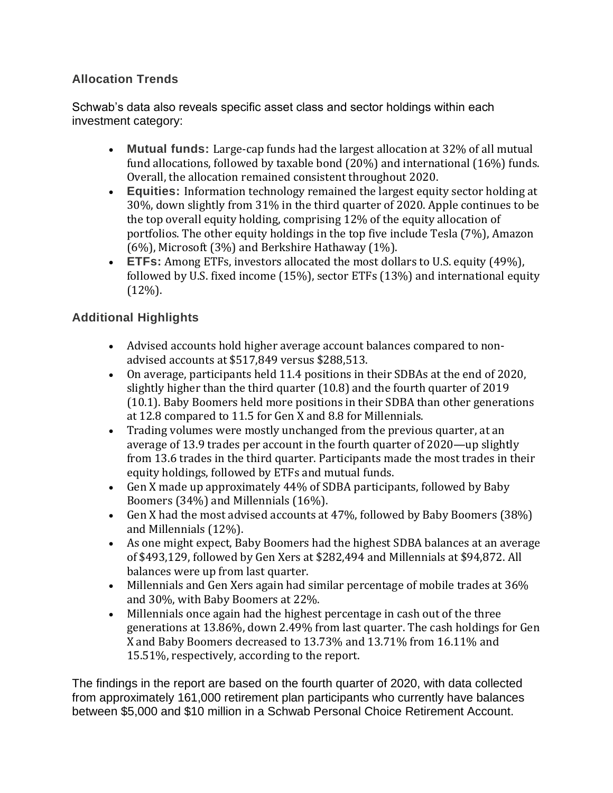#### **Allocation Trends**

Schwab's data also reveals specific asset class and sector holdings within each investment category:

- **Mutual funds:** Large-cap funds had the largest allocation at 32% of all mutual fund allocations, followed by taxable bond (20%) and international (16%) funds. Overall, the allocation remained consistent throughout 2020.
- **Equities:** Information technology remained the largest equity sector holding at 30%, down slightly from 31% in the third quarter of 2020. Apple continues to be the top overall equity holding, comprising 12% of the equity allocation of portfolios. The other equity holdings in the top five include Tesla (7%), Amazon (6%), Microsoft (3%) and Berkshire Hathaway (1%).
- **ETFs:** Among ETFs, investors allocated the most dollars to U.S. equity (49%), followed by U.S. fixed income (15%), sector ETFs (13%) and international equity (12%).

### **Additional Highlights**

- Advised accounts hold higher average account balances compared to nonadvised accounts at \$517,849 versus \$288,513.
- On average, participants held 11.4 positions in their SDBAs at the end of 2020, slightly higher than the third quarter (10.8) and the fourth quarter of 2019 (10.1). Baby Boomers held more positions in their SDBA than other generations at 12.8 compared to 11.5 for Gen X and 8.8 for Millennials.
- Trading volumes were mostly unchanged from the previous quarter, at an average of 13.9 trades per account in the fourth quarter of 2020—up slightly from 13.6 trades in the third quarter. Participants made the most trades in their equity holdings, followed by ETFs and mutual funds.
- Gen X made up approximately 44% of SDBA participants, followed by Baby Boomers (34%) and Millennials (16%).
- Gen X had the most advised accounts at 47%, followed by Baby Boomers (38%) and Millennials (12%).
- As one might expect, Baby Boomers had the highest SDBA balances at an average of \$493,129, followed by Gen Xers at \$282,494 and Millennials at \$94,872. All balances were up from last quarter.
- Millennials and Gen Xers again had similar percentage of mobile trades at 36% and 30%, with Baby Boomers at 22%.
- Millennials once again had the highest percentage in cash out of the three generations at 13.86%, down 2.49% from last quarter. The cash holdings for Gen X and Baby Boomers decreased to 13.73% and 13.71% from 16.11% and 15.51%, respectively, according to the report.

The findings in the report are based on the fourth quarter of 2020, with data collected from approximately 161,000 retirement plan participants who currently have balances between \$5,000 and \$10 million in a Schwab Personal Choice Retirement Account.